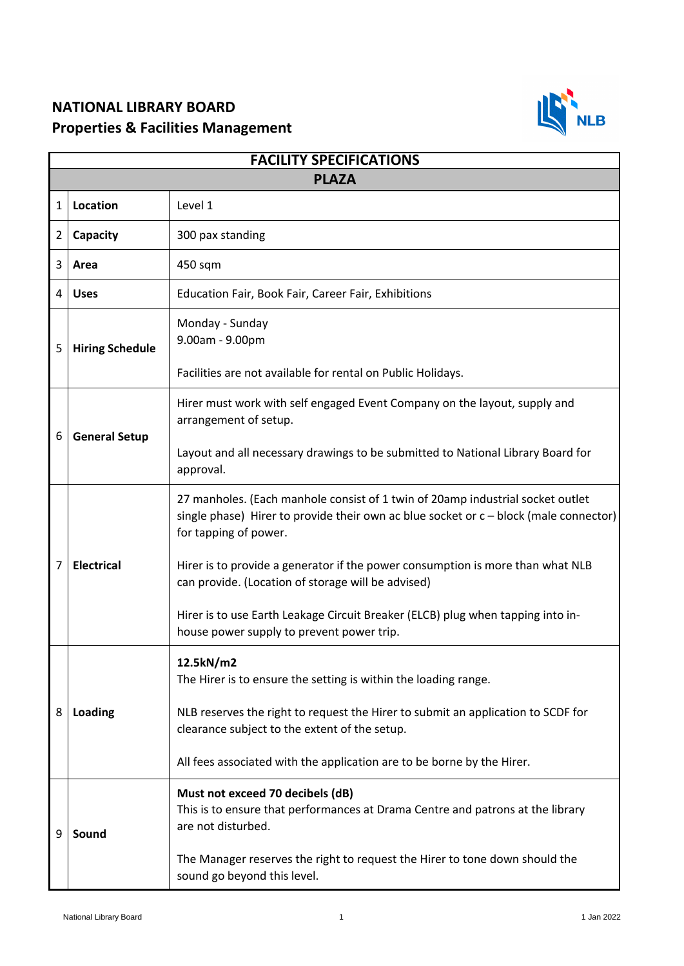## **NATIONAL LIBRARY BOARD Properties & Facilities Management**



| <b>FACILITY SPECIFICATIONS</b> |                        |                                                                                                                                                                                                    |  |
|--------------------------------|------------------------|----------------------------------------------------------------------------------------------------------------------------------------------------------------------------------------------------|--|
| <b>PLAZA</b>                   |                        |                                                                                                                                                                                                    |  |
| 1                              | Location               | Level 1                                                                                                                                                                                            |  |
| 2                              | Capacity               | 300 pax standing                                                                                                                                                                                   |  |
| 3                              | Area                   | 450 sqm                                                                                                                                                                                            |  |
| 4                              | <b>Uses</b>            | <b>Education Fair, Book Fair, Career Fair, Exhibitions</b>                                                                                                                                         |  |
| 5                              | <b>Hiring Schedule</b> | Monday - Sunday<br>9.00am - 9.00pm<br>Facilities are not available for rental on Public Holidays.                                                                                                  |  |
|                                |                        |                                                                                                                                                                                                    |  |
| 6                              | <b>General Setup</b>   | Hirer must work with self engaged Event Company on the layout, supply and<br>arrangement of setup.                                                                                                 |  |
|                                |                        | Layout and all necessary drawings to be submitted to National Library Board for<br>approval.                                                                                                       |  |
| 7                              | <b>Electrical</b>      | 27 manholes. (Each manhole consist of 1 twin of 20amp industrial socket outlet<br>single phase) Hirer to provide their own ac blue socket or $c -$ block (male connector)<br>for tapping of power. |  |
|                                |                        | Hirer is to provide a generator if the power consumption is more than what NLB<br>can provide. (Location of storage will be advised)                                                               |  |
|                                |                        | Hirer is to use Earth Leakage Circuit Breaker (ELCB) plug when tapping into in-<br>house power supply to prevent power trip.                                                                       |  |
| 8                              | <b>Loading</b>         | 12.5kN/m2<br>The Hirer is to ensure the setting is within the loading range.                                                                                                                       |  |
|                                |                        | NLB reserves the right to request the Hirer to submit an application to SCDF for<br>clearance subject to the extent of the setup.                                                                  |  |
|                                |                        | All fees associated with the application are to be borne by the Hirer.                                                                                                                             |  |
| 9                              | Sound                  | Must not exceed 70 decibels (dB)<br>This is to ensure that performances at Drama Centre and patrons at the library<br>are not disturbed.                                                           |  |
|                                |                        | The Manager reserves the right to request the Hirer to tone down should the<br>sound go beyond this level.                                                                                         |  |